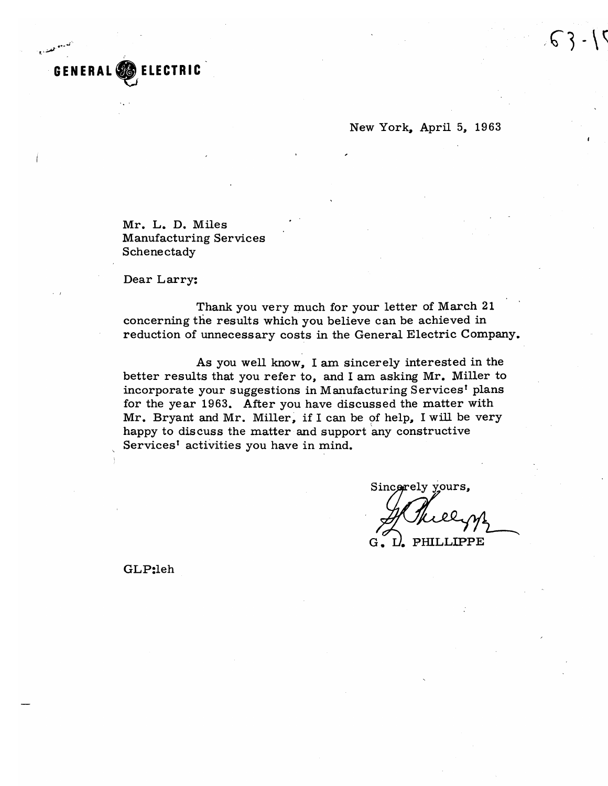New York, April 5, 1963

Mr. L. D. Miles **Manufacturing Services** Schenectady

Dear Larry:

**LECTRIC** 

Thank you very much for your letter of March 21 concerning the results which you believe can be achieved in reduction of unnecessary costs in the General Electric Company.

As you well know, I am sincerely interested in the better results that you refer to, and I am asking Mr. Miller to incorporate your suggestions in Manufacturing Services<sup>t</sup> plans for the year 1963. After you have discussed the matter with Mr. Bryant and Mr. Miller, if I can be of help, I will be very happy to discuss the matter and support any constructive Services<sup>t</sup> activities you have in mind.

Sincerely yours,

PHILLIPPE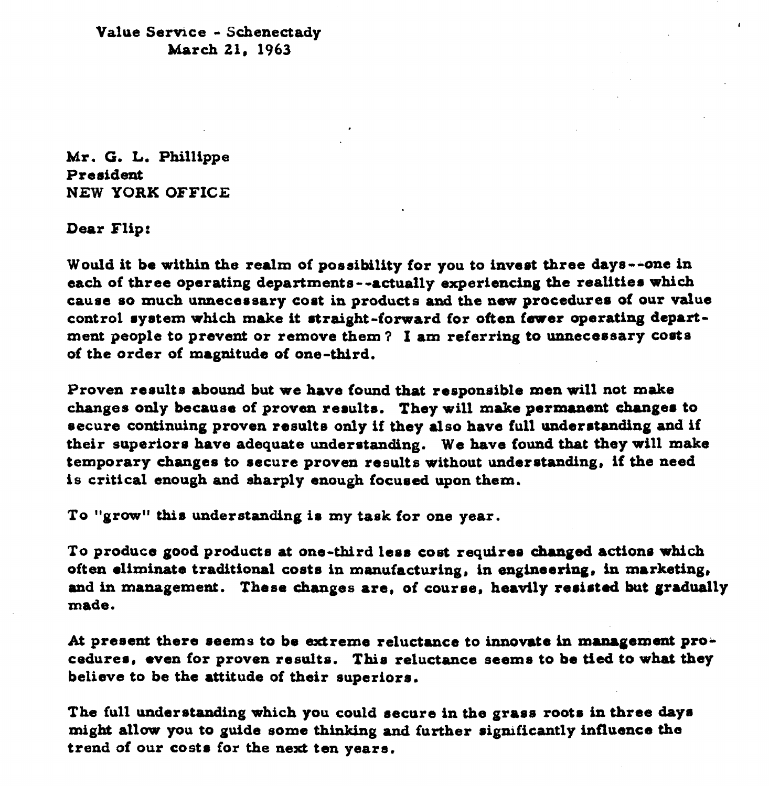**Value** *Servrce* - **Schenectady March 21, 1963** 

**Mr. G. L. Phillippe Presideat NEW YORK OFFICE** 

**Dear Flip:** 

**WouId it be within the redm of possibility for you to inveet three days --one in each of three operating departments** - **-actually experiencing the reatitie. which cause so much unnecereary coat in products and the new procedures of our value**  control system which make it straight-forward for often fewer operating depart**ment people to prevent or remove them** ? **I am referring to uaneceasary coat8 of the** *order* **of magaitude of one-third.** 

**Proven reaulta abound but we have found that responsible men** will **not make changes only because of proven reaulta. They will make permurent change. to recure continuing proven rasulte only if they also have full underatanding** and **if their superiors have adequate understanding. We have found that they will make temporary changes to recurs proven results without undetrtanding, if the need is critical enough and sharply enough focueed upon them.** 

**To "growu thia understanding i8 my task** *for* **one year.** 

**To produce good products at one-third lesu coet requiree changed actions wbich often eliminate traditional costs in manufacturing, in engineering, in marketing,** and in management. These changes are, of course, heavily resisted but gradually **made.** 

**At** present **there** *.earns* **to be extreme reluctaxace to innuvsta in mmrgement procedures, wen for proven results. This reluctance acema to be tied to what they believe to be the attitude of their superior..** 

**The full underatanding which you could aecure in the grass roots in** *three* **day. might** all^^ **pu to guide eome thinking and further ripxuficantly influence the trend of our costa for the next ten years.**